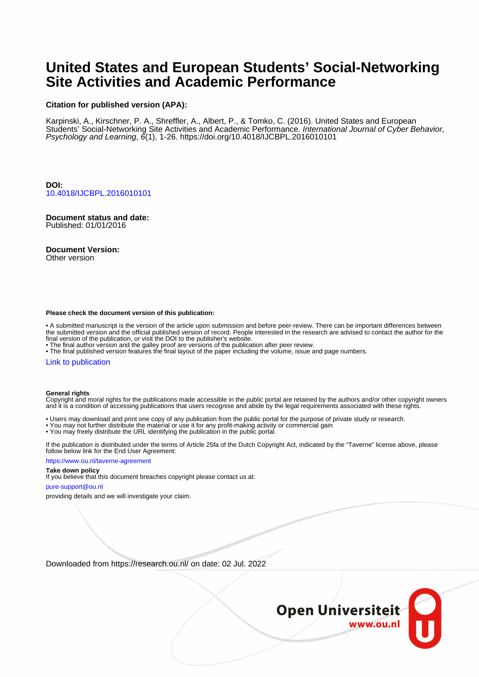## **United States and European Students' Social-Networking Site Activities and Academic Performance**

## **Citation for published version (APA):**

Karpinski, A., Kirschner, P. A., Shreffler, A., Albert, P., & Tomko, C. (2016). United States and European Students' Social-Networking Site Activities and Academic Performance. International Journal of Cyber Behavior, Psychology and Learning, 6(1), 1-26. <https://doi.org/10.4018/IJCBPL.2016010101>

**DOI:** [10.4018/IJCBPL.2016010101](https://doi.org/10.4018/IJCBPL.2016010101)

**Document status and date:** Published: 01/01/2016

**Document Version:**

Other version

#### **Please check the document version of this publication:**

• A submitted manuscript is the version of the article upon submission and before peer-review. There can be important differences between the submitted version and the official published version of record. People interested in the research are advised to contact the author for the final version of the publication, or visit the DOI to the publisher's website.

• The final author version and the galley proof are versions of the publication after peer review.

• The final published version features the final layout of the paper including the volume, issue and page numbers.

#### [Link to publication](https://research.ou.nl/en/publications/4ab3ddb9-ba83-4e0d-8293-1f0156b376c0)

#### **General rights**

Copyright and moral rights for the publications made accessible in the public portal are retained by the authors and/or other copyright owners and it is a condition of accessing publications that users recognise and abide by the legal requirements associated with these rights.

• Users may download and print one copy of any publication from the public portal for the purpose of private study or research.

- You may not further distribute the material or use it for any profit-making activity or commercial gain
- You may freely distribute the URL identifying the publication in the public portal.

If the publication is distributed under the terms of Article 25fa of the Dutch Copyright Act, indicated by the "Taverne" license above, please follow below link for the End User Agreement:

### https://www.ou.nl/taverne-agreement

## **Take down policy**

If you believe that this document breaches copyright please contact us at:

### pure-support@ou.nl

providing details and we will investigate your claim.

Downloaded from https://research.ou.nl/ on date: 02 Jul. 2022